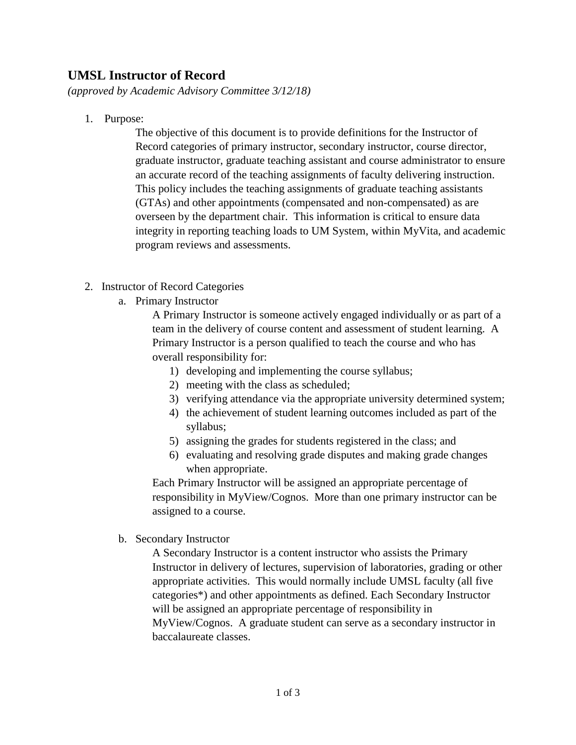## **UMSL Instructor of Record**

*(approved by Academic Advisory Committee 3/12/18)*

1. Purpose:

The objective of this document is to provide definitions for the Instructor of Record categories of primary instructor, secondary instructor, course director, graduate instructor, graduate teaching assistant and course administrator to ensure an accurate record of the teaching assignments of faculty delivering instruction. This policy includes the teaching assignments of graduate teaching assistants (GTAs) and other appointments (compensated and non-compensated) as are overseen by the department chair. This information is critical to ensure data integrity in reporting teaching loads to UM System, within MyVita, and academic program reviews and assessments.

- 2. Instructor of Record Categories
	- a. Primary Instructor

A Primary Instructor is someone actively engaged individually or as part of a team in the delivery of course content and assessment of student learning. A Primary Instructor is a person qualified to teach the course and who has overall responsibility for:

- 1) developing and implementing the course syllabus;
- 2) meeting with the class as scheduled;
- 3) verifying attendance via the appropriate university determined system;
- 4) the achievement of student learning outcomes included as part of the syllabus;
- 5) assigning the grades for students registered in the class; and
- 6) evaluating and resolving grade disputes and making grade changes when appropriate.

Each Primary Instructor will be assigned an appropriate percentage of responsibility in MyView/Cognos. More than one primary instructor can be assigned to a course.

b. Secondary Instructor

A Secondary Instructor is a content instructor who assists the Primary Instructor in delivery of lectures, supervision of laboratories, grading or other appropriate activities. This would normally include UMSL faculty (all five categories\*) and other appointments as defined. Each Secondary Instructor will be assigned an appropriate percentage of responsibility in MyView/Cognos. A graduate student can serve as a secondary instructor in baccalaureate classes.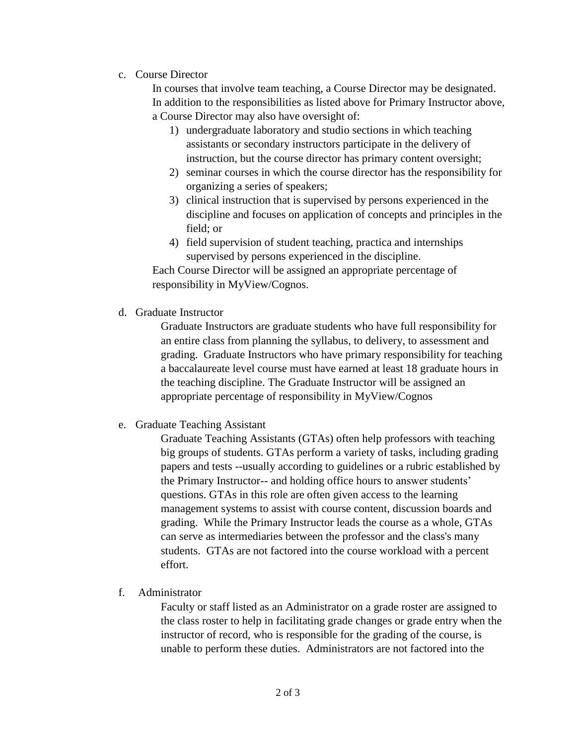c. Course Director

In courses that involve team teaching, a Course Director may be designated. In addition to the responsibilities as listed above for Primary Instructor above, a Course Director may also have oversight of:

- 1) undergraduate laboratory and studio sections in which teaching assistants or secondary instructors participate in the delivery of instruction, but the course director has primary content oversight;
- 2) seminar courses in which the course director has the responsibility for organizing a series of speakers;
- 3) clinical instruction that is supervised by persons experienced in the discipline and focuses on application of concepts and principles in the field; or
- 4) field supervision of student teaching, practica and internships supervised by persons experienced in the discipline.

Each Course Director will be assigned an appropriate percentage of responsibility in MyView/Cognos.

d. Graduate Instructor

Graduate Instructors are graduate students who have full responsibility for an entire class from planning the syllabus, to delivery, to assessment and grading. Graduate Instructors who have primary responsibility for teaching a baccalaureate level course must have earned at least 18 graduate hours in the teaching discipline. The Graduate Instructor will be assigned an appropriate percentage of responsibility in MyView/Cognos

e. Graduate Teaching Assistant

Graduate Teaching Assistants (GTAs) often help professors with teaching big groups of students. GTAs perform a variety of tasks, including grading papers and tests --usually according to guidelines or a rubric established by the Primary Instructor-- and holding office hours to answer students' questions. GTAs in this role are often given access to the learning management systems to assist with course content, discussion boards and grading. While the Primary Instructor leads the course as a whole, GTAs can serve as intermediaries between the professor and the class's many students. GTAs are not factored into the course workload with a percent effort.

f. Administrator

Faculty or staff listed as an Administrator on a grade roster are assigned to the class roster to help in facilitating grade changes or grade entry when the instructor of record, who is responsible for the grading of the course, is unable to perform these duties. Administrators are not factored into the